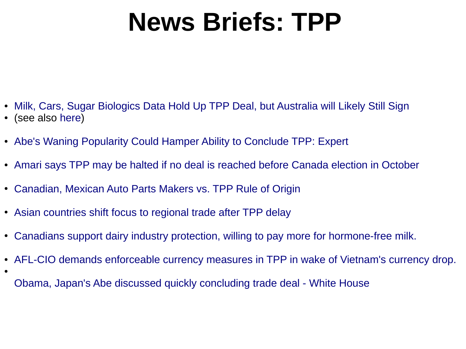## **News Briefs: TPP**

- [Milk, Cars, Sugar Biologics Data Hold Up TPP Deal, but Australia will Likely Still Sign](https://www.businessspectator.com.au/article/2015/8/28/international-news/tpp-still-alive-and-australia-will-likely-sign)
- (see also [here](http://www.eastasiaforum.org/2015/08/18/will-the-tpp-endgame-get-tangled-in-old-spaghetti/))

●

- [Abe's Waning Popularity Could Hamper Ability to Conclude TPP: Expert](http://www.prosperousamerica.org/inside_us_trade_abe_s_waning_popularity_could_hamper_ability_to_conclude_tpp_expert)
- [Amari says TPP may be halted if no deal is reached before Canada election in October](http://www.japantimes.co.jp/news/2015/08/28/business/amari-says-tpp-may-halted-no-deal-reached-canada-election-october/#.VeJdVPb2CUn)
- [Canadian, Mexican Auto Parts Makers vs. TPP Rule of Origin](http://www.prosperousamerica.org/why_does_ustr_want_to_want_non_tpp_auto_parts_to_benefit)
- [Asian countries shift focus to regional trade after TPP delay](http://www.afr.com/news/economy/trade/asian-countries-shift-focus-to-regional-trade-after-tpp-delay-20150825-gj73bb)
- [Canadians support dairy industry protection, willing to pay more for hormone-free milk.](http://teamsters.ca/en/blog/2015/08/25/trans-pacific-partnership-wont-work-until-the-cows-come-home/)
- [AFL-CIO demands enforceable currency measures in TPP in wake of Vietnam's currency drop.](http://thehill.com/policy/finance/trade/251662-labor-chief-trade-officials-failing-to-confront-currency-manipulation)
	- [Obama, Japan's Abe discussed quickly concluding trade deal White House](http://uk.reuters.com/article/2015/08/26/uk-usa-japan-trade-idUKKCN0QV1H020150826)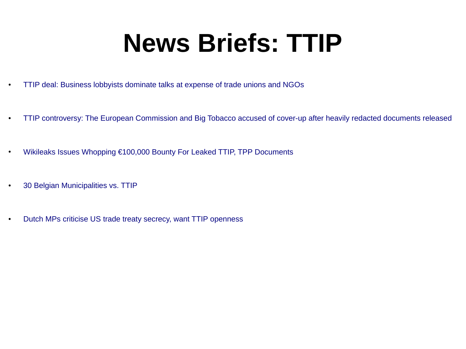## **News Briefs: TTIP**

- [TTIP deal: Business lobbyists dominate talks at expense of trade unions and NGOs](http://www.independent.co.uk/news/world/europe/ttip-deal-business-lobbyists-dominate-talks-at-expense-of-trade-unions-and-ngos-10475073.html)
- [TTIP controversy: The European Commission and Big Tobacco accused of cover-up after heavily redacted documents released](http://www.independent.co.uk/news/uk/home-news/ttip-controversy-the-european-commission-and-big-tobacco-accused-of-coverup-after-heavily-redacted-documents-released-10473601.html)
- [Wikileaks Issues Whopping €100,000 Bounty For Leaked TTIP, TPP Documents](http://www.breitbart.com/big-government/2015/08/11/wikileaks-issues-e100000-bounty-for-leaked-ttip-tpp-documents/)
- [30 Belgian Municipalities vs. TTIP](http://www.equaltimes.org/belgium-municipalities-mobilise-15978?lang=en#.VeNlyvb2CUl)
- [Dutch MPs criticise US trade treaty secrecy, want TTIP openness](http://www.dutchnews.nl/news/archives/2015/08/dutch-mps-criticise-us-trade-treaty-secrecy-want-ttip-openness/)